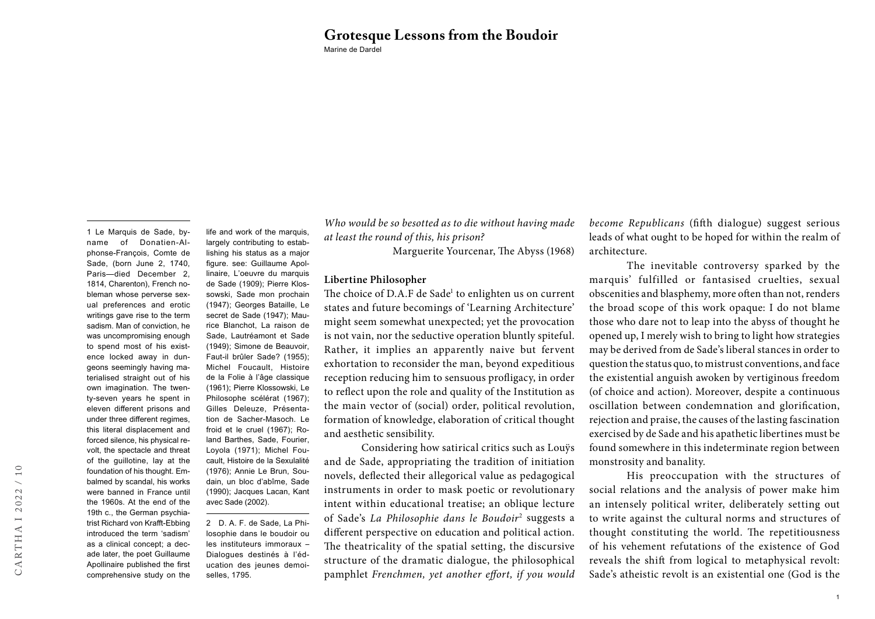# Marine de Dardel **Grotesque Lessons from the Boudoir**

1 Le Marquis de Sade, byname of Donatien-Alphonse-François, Comte de Sade, (born June 2, 1740, Paris—died December 2, 1814, Charenton), French nobleman whose perverse sexual preferences and erotic writings gave rise to the term sadism. Man of conviction, he was uncompromising enough to spend most of his existence locked away in dungeons seemingly having materialised straight out of his own imagination. The twenty-seven years he spent in eleven different prisons and under three different regimes, this literal displacement and forced silence, his physical revolt, the spectacle and threat of the guillotine, lay at the foundation of his thought. Embalmed by scandal, his works were banned in France until the 1960s. At the end of the 19th c., the German psychiatrist Richard von Krafft-Ebbing introduced the term 'sadism' as a clinical concept; a decade later, the poet Guillaume Apollinaire published the first comprehensive study on the

life and work of the marquis, largely contributing to establishing his status as a major figure. see: Guillaume Apollinaire, L'oeuvre du marquis de Sade (1909); Pierre Klossowski, Sade mon prochain (1947); Georges Bataille, Le secret de Sade (1947): Maurice Blanchot, La raison de Sade, Lautréamont et Sade (1949); Simone de Beauvoir, Faut-il brûler Sade? (1955); Michel Foucault, Histoire de la Folie à l'âge classique (1961); Pierre Klossowski, Le Philosophe scélérat (1967); Gilles Deleuze, Présentation de Sacher-Masoch. Le froid et le cruel (1967); Roland Barthes, Sade, Fourier, Loyola (1971); Michel Foucault, Histoire de la Sexulalité (1976); Annie Le Brun, Soudain, un bloc d'abîme, Sade (1990); Jacques Lacan, Kant avec Sade (2002).

2 D. A. F. de Sade, La Philosophie dans le boudoir ou les instituteurs immoraux – Dialogues destinés à l'éducation des jeunes demoiselles, 1795.

*Who would be so besotted as to die without having made at least the round of this, his prison?*

Marguerite Yourcenar, The Abyss (1968)

## **Libertine Philosopher**

The choice of D.A.F de Sade<sup>1</sup> to enlighten us on current states and future becomings of 'Learning Architecture' might seem somewhat unexpected; yet the provocation is not vain, nor the seductive operation bluntly spiteful. Rather, it implies an apparently naive but fervent exhortation to reconsider the man, beyond expeditious reception reducing him to sensuous profligacy, in order to reflect upon the role and quality of the Institution as the main vector of (social) order, political revolution, formation of knowledge, elaboration of critical thought and aesthetic sensibility.

Considering how satirical critics such as Louÿs and de Sade, appropriating the tradition of initiation novels, deflected their allegorical value as pedagogical instruments in order to mask poetic or revolutionary intent within educational treatise; an oblique lecture of Sade's *La Philosophie dans le Boudoir*<sup>2</sup> suggests a different perspective on education and political action. The theatricality of the spatial setting, the discursive structure of the dramatic dialogue, the philosophical pamphlet *Frenchmen, yet another effort, if you would* 

*become Republicans* (fifth dialogue) suggest serious leads of what ought to be hoped for within the realm of architecture.

The inevitable controversy sparked by the marquis' fulfilled or fantasised cruelties, sexual obscenities and blasphemy, more often than not, renders the broad scope of this work opaque: I do not blame those who dare not to leap into the abyss of thought he opened up, I merely wish to bring to light how strategies may be derived from de Sade's liberal stances in order to question the status quo, to mistrust conventions, and face the existential anguish awoken by vertiginous freedom (of choice and action). Moreover, despite a continuous oscillation between condemnation and glorification, rejection and praise, the causes of the lasting fascination exercised by de Sade and his apathetic libertines must be found somewhere in this indeterminate region between monstrosity and banality.

His preoccupation with the structures of social relations and the analysis of power make him an intensely political writer, deliberately setting out to write against the cultural norms and structures of thought constituting the world. The repetitiousness of his vehement refutations of the existence of God reveals the shift from logical to metaphysical revolt: Sade's atheistic revolt is an existential one (God is the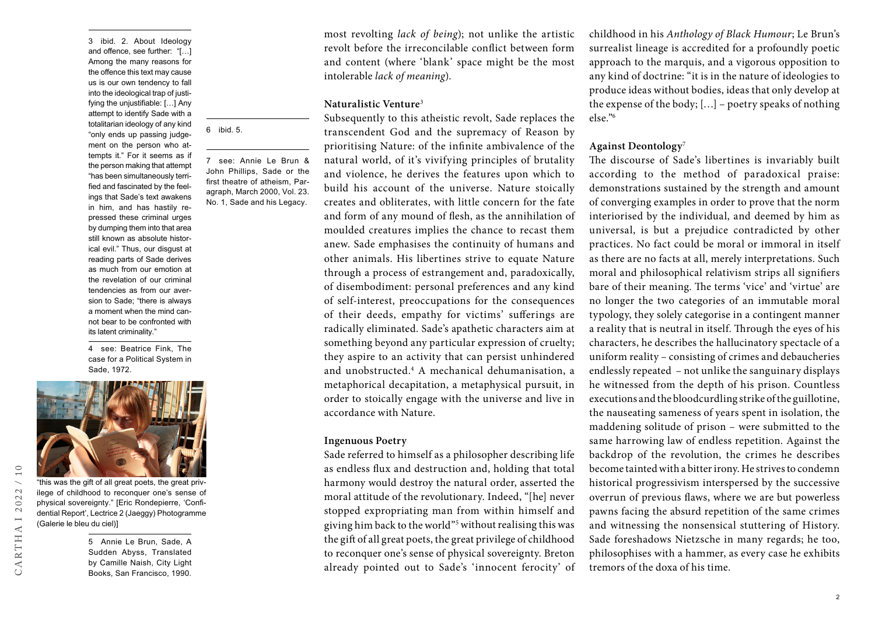3 ibid. 2. About Ideology and offence, see further: "[…] Among the many reasons for the offence this text may cause us is our own tendency to fall into the ideological trap of justifying the unjustifiable: […] Any attempt to identify Sade with a totalitarian ideology of any kind "only ends up passing judgement on the person who attempts it." For it seems as if the person making that attempt "has been simultaneously terrified and fascinated by the feelings that Sade's text awakens in him, and has hastily repressed these criminal urges by dumping them into that area still known as absolute historical evil." Thus, our disgust at reading parts of Sade derives as much from our emotion at the revelation of our criminal tendencies as from our aversion to Sade; "there is always a moment when the mind cannot bear to be confronted with its latent criminality."

6 ibid. 5.

7 see: Annie Le Brun & John Phillips, Sade or the first theatre of atheism, Paragraph, March 2000, Vol. 23. No. 1, Sade and his Legacy.

4 see: Beatrice Fink, The case for a Political System in Sade, 1972.



ilege of childhood to reconquer one's sense of physical sovereignty." [Eric Rondepierre, 'Confidential Report', Lectrice 2 (Jaeggy) Photogramme (Galerie le bleu du ciel)]

> 5 Annie Le Brun, Sade, A Sudden Abyss, Translated by Camille Naish, City Light Books, San Francisco, 1990.

most revolting *lack of being*); not unlike the artistic revolt before the irreconcilable conflict between form and content (where 'blank' space might be the most intolerable *lack of meaning*).

## **Naturalistic Venture**<sup>3</sup>

Subsequently to this atheistic revolt, Sade replaces the transcendent God and the supremacy of Reason by prioritising Nature: of the infinite ambivalence of the natural world, of it's vivifying principles of brutality and violence, he derives the features upon which to build his account of the universe. Nature stoically creates and obliterates, with little concern for the fate and form of any mound of flesh, as the annihilation of moulded creatures implies the chance to recast them anew. Sade emphasises the continuity of humans and other animals. His libertines strive to equate Nature through a process of estrangement and, paradoxically, of disembodiment: personal preferences and any kind of self-interest, preoccupations for the consequences of their deeds, empathy for victims' sufferings are radically eliminated. Sade's apathetic characters aim at something beyond any particular expression of cruelty; they aspire to an activity that can persist unhindered and unobstructed.4 A mechanical dehumanisation, a metaphorical decapitation, a metaphysical pursuit, in order to stoically engage with the universe and live in accordance with Nature.

# **Ingenuous Poetry**

Sade referred to himself as a philosopher describing life as endless flux and destruction and, holding that total harmony would destroy the natural order, asserted the moral attitude of the revolutionary. Indeed, "[he] never stopped expropriating man from within himself and giving him back to the world"<sup>5</sup> without realising this was the gift of all great poets, the great privilege of childhood to reconquer one's sense of physical sovereignty. Breton already pointed out to Sade's 'innocent ferocity' of childhood in his *Anthology of Black Humour*; Le Brun's surrealist lineage is accredited for a profoundly poetic approach to the marquis, and a vigorous opposition to any kind of doctrine: "it is in the nature of ideologies to produce ideas without bodies, ideas that only develop at the expense of the body;  $[...]$  – poetry speaks of nothing else."6

# **Against Deontology**<sup>7</sup>

The discourse of Sade's libertines is invariably built according to the method of paradoxical praise: demonstrations sustained by the strength and amount of converging examples in order to prove that the norm interiorised by the individual, and deemed by him as universal, is but a prejudice contradicted by other practices. No fact could be moral or immoral in itself as there are no facts at all, merely interpretations. Such moral and philosophical relativism strips all signifiers bare of their meaning. The terms 'vice' and 'virtue' are no longer the two categories of an immutable moral typology, they solely categorise in a contingent manner a reality that is neutral in itself. Through the eyes of his characters, he describes the hallucinatory spectacle of a uniform reality – consisting of crimes and debaucheries endlessly repeated – not unlike the sanguinary displays he witnessed from the depth of his prison. Countless executions and the bloodcurdling strike of the guillotine, the nauseating sameness of years spent in isolation, the maddening solitude of prison – were submitted to the same harrowing law of endless repetition. Against the backdrop of the revolution, the crimes he describes become tainted with a bitter irony. He strives to condemn historical progressivism interspersed by the successive overrun of previous flaws, where we are but powerless pawns facing the absurd repetition of the same crimes and witnessing the nonsensical stuttering of History. Sade foreshadows Nietzsche in many regards; he too, philosophises with a hammer, as every case he exhibits tremors of the doxa of his time.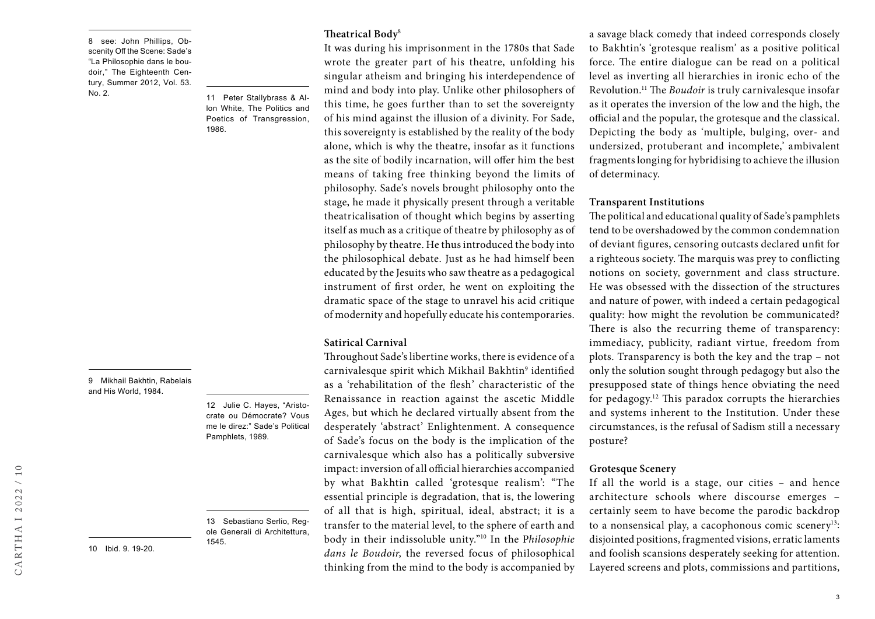8 see: John Phillips, Obscenity Off the Scene: Sade's "La Philosophie dans le boudoir," The Eighteenth Century, Summer 2012, Vol. 53.

No. 2. <sup>11</sup> Peter Stallybrass & Allon White, The Politics and Poetics of Transgression, 1986.

9 Mikhail Bakhtin, Rabelais and His World, 1984.

10 Ibid. 9. 19-20.

12 Julie C. Hayes, "Aristocrate ou Démocrate? Vous me le direz:" Sade's Political Pamphlets, 1989.

13 Sebastiano Serlio, Regole Generali di Architettura, 1545.

**Theatrical Body**<sup>8</sup>

It was during his imprisonment in the 1780s that Sade wrote the greater part of his theatre, unfolding his singular atheism and bringing his interdependence of mind and body into play. Unlike other philosophers of this time, he goes further than to set the sovereignty of his mind against the illusion of a divinity. For Sade, this sovereignty is established by the reality of the body alone, which is why the theatre, insofar as it functions as the site of bodily incarnation, will offer him the best means of taking free thinking beyond the limits of philosophy. Sade's novels brought philosophy onto the stage, he made it physically present through a veritable theatricalisation of thought which begins by asserting itself as much as a critique of theatre by philosophy as of philosophy by theatre. He thus introduced the body into the philosophical debate. Just as he had himself been educated by the Jesuits who saw theatre as a pedagogical instrument of first order, he went on exploiting the dramatic space of the stage to unravel his acid critique of modernity and hopefully educate his contemporaries.

#### **Satirical Carnival**

Throughout Sade's libertine works, there is evidence of a carnivalesque spirit which Mikhail Bakhtin<sup>9</sup> identified as a 'rehabilitation of the flesh' characteristic of the Renaissance in reaction against the ascetic Middle Ages, but which he declared virtually absent from the desperately 'abstract' Enlightenment. A consequence of Sade's focus on the body is the implication of the carnivalesque which also has a politically subversive impact: inversion of all official hierarchies accompanied by what Bakhtin called 'grotesque realism': "The essential principle is degradation, that is, the lowering of all that is high, spiritual, ideal, abstract; it is a transfer to the material level, to the sphere of earth and body in their indissoluble unity."10 In the P*hilosophie dans le Boudoir*, the reversed focus of philosophical thinking from the mind to the body is accompanied by

a savage black comedy that indeed corresponds closely to Bakhtin's 'grotesque realism' as a positive political force. The entire dialogue can be read on a political level as inverting all hierarchies in ironic echo of the Revolution.11 The *Boudoir* is truly carnivalesque insofar as it operates the inversion of the low and the high, the official and the popular, the grotesque and the classical. Depicting the body as 'multiple, bulging, over- and undersized, protuberant and incomplete,' ambivalent fragments longing for hybridising to achieve the illusion of determinacy.

# **Transparent Institutions**

The political and educational quality of Sade's pamphlets tend to be overshadowed by the common condemnation of deviant figures, censoring outcasts declared unfit for a righteous society. The marquis was prey to conflicting notions on society, government and class structure. He was obsessed with the dissection of the structures and nature of power, with indeed a certain pedagogical quality: how might the revolution be communicated? There is also the recurring theme of transparency: immediacy, publicity, radiant virtue, freedom from plots. Transparency is both the key and the trap – not only the solution sought through pedagogy but also the presupposed state of things hence obviating the need for pedagogy.12 This paradox corrupts the hierarchies and systems inherent to the Institution. Under these circumstances, is the refusal of Sadism still a necessary posture?

#### **Grotesque Scenery**

If all the world is a stage, our cities – and hence architecture schools where discourse emerges – certainly seem to have become the parodic backdrop to a nonsensical play, a cacophonous comic scenery<sup>13</sup>: disjointed positions, fragmented visions, erratic laments and foolish scansions desperately seeking for attention. Layered screens and plots, commissions and partitions,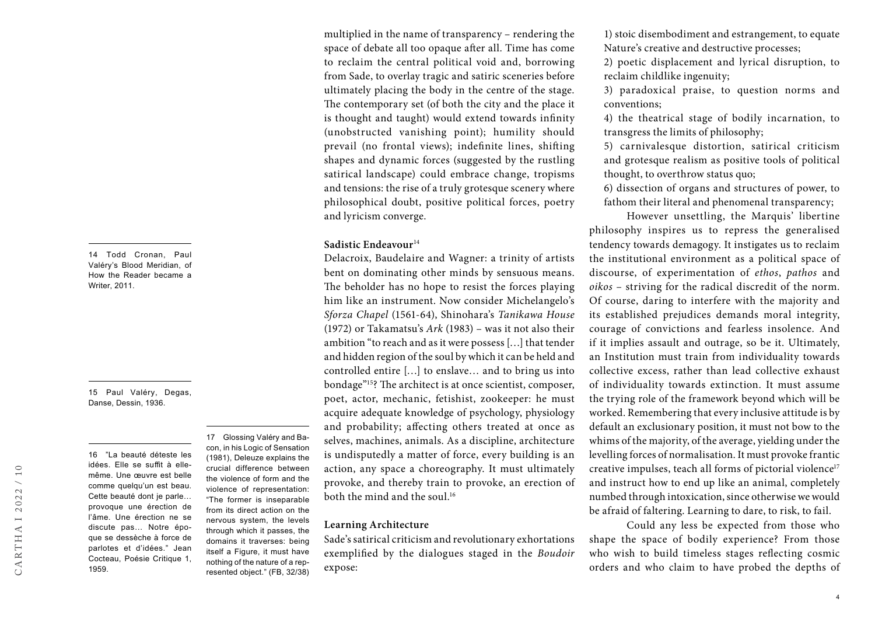14 Todd Cronan, Paul Valéry's Blood Meridian, of How the Reader became a Writer, 2011.

15 Paul Valéry, Degas, Danse, Dessin, 1936.

1959.

16 "La beauté déteste les idées. Elle se suffit à ellemême. Une œuvre est belle comme quelqu'un est beau. Cette beauté dont je parle… provoque une érection de l'âme. Une érection ne se discute pas… Notre époque se dessèche à force de parlotes et d'idées." Jean Cocteau, Poésie Critique 1,

17 Glossing Valéry and Bacon, in his Logic of Sensation (1981), Deleuze explains the crucial difference between the violence of form and the violence of representation: "The former is inseparable from its direct action on the nervous system, the levels through which it passes, the domains it traverses: being itself a Figure, it must have nothing of the nature of a represented object." (FB, 32/38)

multiplied in the name of transparency – rendering the space of debate all too opaque after all. Time has come to reclaim the central political void and, borrowing from Sade, to overlay tragic and satiric sceneries before ultimately placing the body in the centre of the stage. The contemporary set (of both the city and the place it is thought and taught) would extend towards infinity (unobstructed vanishing point); humility should prevail (no frontal views); indefinite lines, shifting shapes and dynamic forces (suggested by the rustling satirical landscape) could embrace change, tropisms and tensions: the rise of a truly grotesque scenery where philosophical doubt, positive political forces, poetry and lyricism converge.

## **Sadistic Endeavour**<sup>14</sup>

Delacroix, Baudelaire and Wagner: a trinity of artists bent on dominating other minds by sensuous means. The beholder has no hope to resist the forces playing him like an instrument. Now consider Michelangelo's *Sforza Chapel* (1561-64), Shinohara's *Tanikawa House* (1972) or Takamatsu's *Ark* (1983) – was it not also their ambition "to reach and as it were possess […] that tender and hidden region of the soul by which it can be held and controlled entire […] to enslave… and to bring us into bondage"15? The architect is at once scientist, composer, poet, actor, mechanic, fetishist, zookeeper: he must acquire adequate knowledge of psychology, physiology and probability; affecting others treated at once as selves, machines, animals. As a discipline, architecture is undisputedly a matter of force, every building is an action, any space a choreography. It must ultimately provoke, and thereby train to provoke, an erection of both the mind and the soul.<sup>16</sup>

#### **Learning Architecture**

Sade's satirical criticism and revolutionary exhortations exemplified by the dialogues staged in the *Boudoir* expose:

1) stoic disembodiment and estrangement, to equate Nature's creative and destructive processes;

2) poetic displacement and lyrical disruption, to reclaim childlike ingenuity;

3) paradoxical praise, to question norms and conventions;

4) the theatrical stage of bodily incarnation, to transgress the limits of philosophy;

5) carnivalesque distortion, satirical criticism and grotesque realism as positive tools of political thought, to overthrow status quo;

6) dissection of organs and structures of power, to fathom their literal and phenomenal transparency;

However unsettling, the Marquis' libertine philosophy inspires us to repress the generalised tendency towards demagogy. It instigates us to reclaim the institutional environment as a political space of discourse, of experimentation of *ethos*, *pathos* and *oikos* – striving for the radical discredit of the norm. Of course, daring to interfere with the majority and its established prejudices demands moral integrity, courage of convictions and fearless insolence. And if it implies assault and outrage, so be it. Ultimately, an Institution must train from individuality towards collective excess, rather than lead collective exhaust of individuality towards extinction. It must assume the trying role of the framework beyond which will be worked. Remembering that every inclusive attitude is by default an exclusionary position, it must not bow to the whims of the majority, of the average, yielding under the levelling forces of normalisation. It must provoke frantic creative impulses, teach all forms of pictorial violence<sup>17</sup> and instruct how to end up like an animal, completely numbed through intoxication, since otherwise we would be afraid of faltering. Learning to dare, to risk, to fail.

Could any less be expected from those who shape the space of bodily experience? From those who wish to build timeless stages reflecting cosmic orders and who claim to have probed the depths of